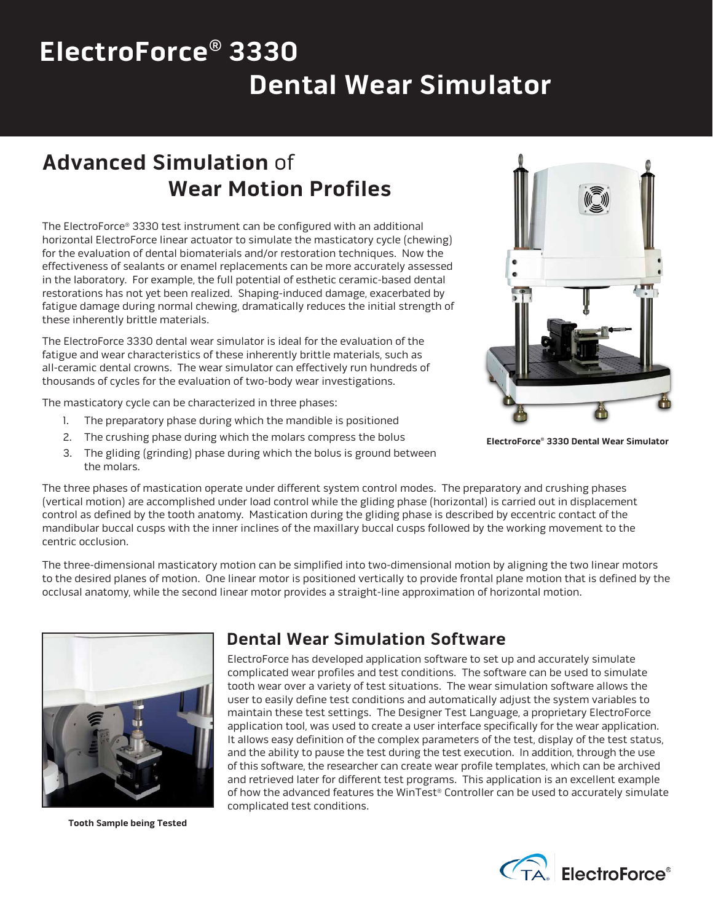# **ElectroForce® 3330 Dental Wear Simulator**

## **Advanced Simulation** of  **Wear Motion Profiles**

The ElectroForce® 3330 test instrument can be configured with an additional horizontal ElectroForce linear actuator to simulate the masticatory cycle (chewing) for the evaluation of dental biomaterials and/or restoration techniques. Now the effectiveness of sealants or enamel replacements can be more accurately assessed in the laboratory. For example, the full potential of esthetic ceramic-based dental restorations has not yet been realized. Shaping-induced damage, exacerbated by fatigue damage during normal chewing, dramatically reduces the initial strength of these inherently brittle materials.

The ElectroForce 3330 dental wear simulator is ideal for the evaluation of the fatigue and wear characteristics of these inherently brittle materials, such as all-ceramic dental crowns. The wear simulator can effectively run hundreds of thousands of cycles for the evaluation of two-body wear investigations.

The masticatory cycle can be characterized in three phases:

- 1. The preparatory phase during which the mandible is positioned
- 2. The crushing phase during which the molars compress the bolus
- 3. The gliding (grinding) phase during which the bolus is ground between the molars.

The three phases of mastication operate under different system control modes. The preparatory and crushing phases (vertical motion) are accomplished under load control while the gliding phase (horizontal) is carried out in displacement control as defined by the tooth anatomy. Mastication during the gliding phase is described by eccentric contact of the mandibular buccal cusps with the inner inclines of the maxillary buccal cusps followed by the working movement to the centric occlusion.

The three-dimensional masticatory motion can be simplified into two-dimensional motion by aligning the two linear motors to the desired planes of motion. One linear motor is positioned vertically to provide frontal plane motion that is defined by the occlusal anatomy, while the second linear motor provides a straight-line approximation of horizontal motion.



**Tooth Sample being Tested**

#### **Dental Wear Simulation Software**

ElectroForce has developed application software to set up and accurately simulate complicated wear profiles and test conditions. The software can be used to simulate tooth wear over a variety of test situations. The wear simulation software allows the user to easily define test conditions and automatically adjust the system variables to maintain these test settings. The Designer Test Language, a proprietary ElectroForce application tool, was used to create a user interface specifically for the wear application. It allows easy definition of the complex parameters of the test, display of the test status, and the ability to pause the test during the test execution. In addition, through the use of this software, the researcher can create wear profile templates, which can be archived and retrieved later for different test programs. This application is an excellent example of how the advanced features the WinTest® Controller can be used to accurately simulate complicated test conditions.



**ElectroForce® 3330 Dental Wear Simulator**